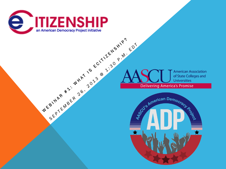

**American Association** of State Colleges and **Universities** 

★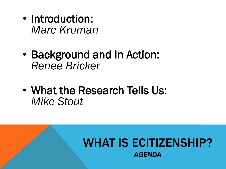- Introduction: *Marc Kruman*
- Background and In Action: *Renee Bricker*
- What the Research Tells Us: *Mike Stout*

#### WHAT IS ECITIZENSHIP? *AGENDA*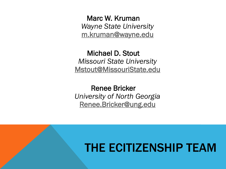Marc W. Kruman *Wayne State University* [m.kruman@wayne.edu](mailto:m.kruman@wayne.edu)

Michael D. Stout *Missouri State University* [Mstout@MissouriState.edu](mailto:Mstout@MissouriState.edu) 

Renee Bricker *University of North Georgia* [Renee.Bricker@ung.edu](mailto:Renee.Bricker@ung.edu) 

#### THE ECITIZENSHIP TEAM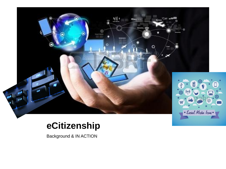

#### eCitizenship

Background & IN ACTION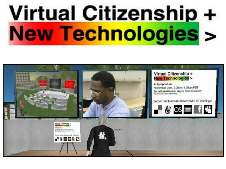# Virtual Citizenship + **New Technologies >**

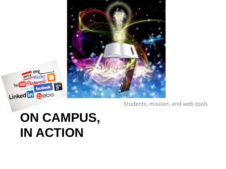# **ON CAMPUS, IN ACTION**





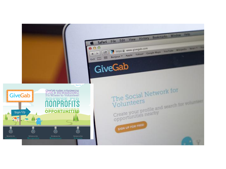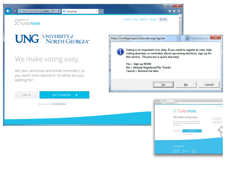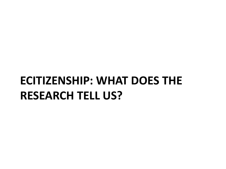#### **ECITIZENSHIP: WHAT DOES THE RESEARCH TELL US?**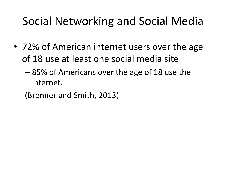#### Social Networking and Social Media

- 72% of American internet users over the age of 18 use at least one social media site
	- 85% of Americans over the age of 18 use the internet.

(Brenner and Smith, 2013)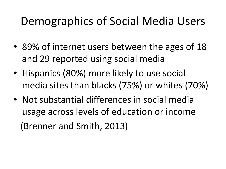#### Demographics of Social Media Users

- 89% of internet users between the ages of 18 and 29 reported using social media
- Hispanics (80%) more likely to use social media sites than blacks (75%) or whites (70%)
- Not substantial differences in social media usage across levels of education or income (Brenner and Smith, 2013)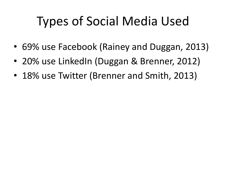## Types of Social Media Used

- 69% use Facebook (Rainey and Duggan, 2013)
- 20% use LinkedIn (Duggan & Brenner, 2012)
- 18% use Twitter (Brenner and Smith, 2013)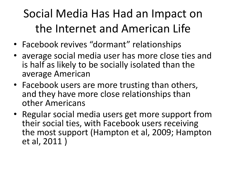#### Social Media Has Had an Impact on the Internet and American Life

- Facebook revives "dormant" relationships
- average social media user has more close ties and is half as likely to be socially isolated than the average American
- Facebook users are more trusting than others, and they have more close relationships than other Americans
- Regular social media users get more support from their social ties, with Facebook users receiving the most support (Hampton et al, 2009; Hampton et al, 2011 )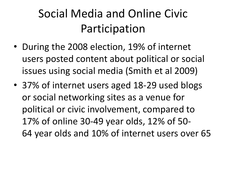#### Social Media and Online Civic Participation

- During the 2008 election, 19% of internet users posted content about political or social issues using social media (Smith et al 2009)
- 37% of internet users aged 18-29 used blogs or social networking sites as a venue for political or civic involvement, compared to 17% of online 30-49 year olds, 12% of 50- 64 year olds and 10% of internet users over 65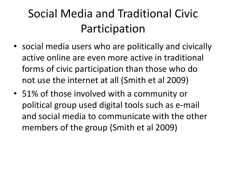#### Social Media and Traditional Civic Participation

- social media users who are politically and civically active online are even more active in traditional forms of civic participation than those who do not use the internet at all (Smith et al 2009)
- 51% of those involved with a community or political group used digital tools such as e-mail and social media to communicate with the other members of the group (Smith et al 2009)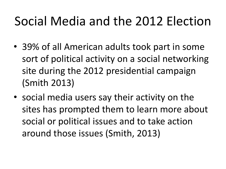### Social Media and the 2012 Election

- 39% of all American adults took part in some sort of political activity on a social networking site during the 2012 presidential campaign (Smith 2013)
- social media users say their activity on the sites has prompted them to learn more about social or political issues and to take action around those issues (Smith, 2013)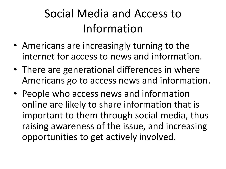#### Social Media and Access to Information

- Americans are increasingly turning to the internet for access to news and information.
- There are generational differences in where Americans go to access news and information.
- People who access news and information online are likely to share information that is important to them through social media, thus raising awareness of the issue, and increasing opportunities to get actively involved.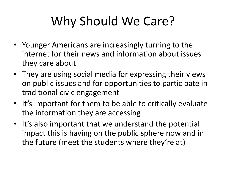# Why Should We Care?

- Younger Americans are increasingly turning to the internet for their news and information about issues they care about
- They are using social media for expressing their views on public issues and for opportunities to participate in traditional civic engagement
- It's important for them to be able to critically evaluate the information they are accessing
- It's also important that we understand the potential impact this is having on the public sphere now and in the future (meet the students where they're at)